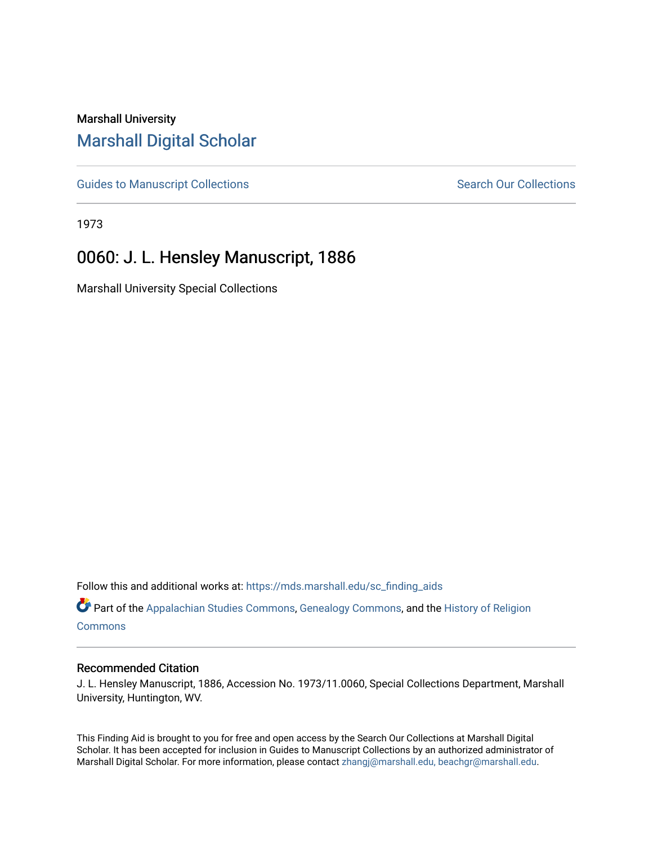## Marshall University [Marshall Digital Scholar](https://mds.marshall.edu/)

[Guides to Manuscript Collections](https://mds.marshall.edu/sc_finding_aids) **Search Our Collections** Search Our Collections

1973

## 0060: J. L. Hensley Manuscript, 1886

Marshall University Special Collections

Follow this and additional works at: [https://mds.marshall.edu/sc\\_finding\\_aids](https://mds.marshall.edu/sc_finding_aids?utm_source=mds.marshall.edu%2Fsc_finding_aids%2F51&utm_medium=PDF&utm_campaign=PDFCoverPages) 

Part of the [Appalachian Studies Commons,](http://network.bepress.com/hgg/discipline/1253?utm_source=mds.marshall.edu%2Fsc_finding_aids%2F51&utm_medium=PDF&utm_campaign=PDFCoverPages) [Genealogy Commons,](http://network.bepress.com/hgg/discipline/1342?utm_source=mds.marshall.edu%2Fsc_finding_aids%2F51&utm_medium=PDF&utm_campaign=PDFCoverPages) and the [History of Religion](http://network.bepress.com/hgg/discipline/499?utm_source=mds.marshall.edu%2Fsc_finding_aids%2F51&utm_medium=PDF&utm_campaign=PDFCoverPages) **[Commons](http://network.bepress.com/hgg/discipline/499?utm_source=mds.marshall.edu%2Fsc_finding_aids%2F51&utm_medium=PDF&utm_campaign=PDFCoverPages)** 

## Recommended Citation

J. L. Hensley Manuscript, 1886, Accession No. 1973/11.0060, Special Collections Department, Marshall University, Huntington, WV.

This Finding Aid is brought to you for free and open access by the Search Our Collections at Marshall Digital Scholar. It has been accepted for inclusion in Guides to Manuscript Collections by an authorized administrator of Marshall Digital Scholar. For more information, please contact [zhangj@marshall.edu, beachgr@marshall.edu](mailto:zhangj@marshall.edu,%20beachgr@marshall.edu).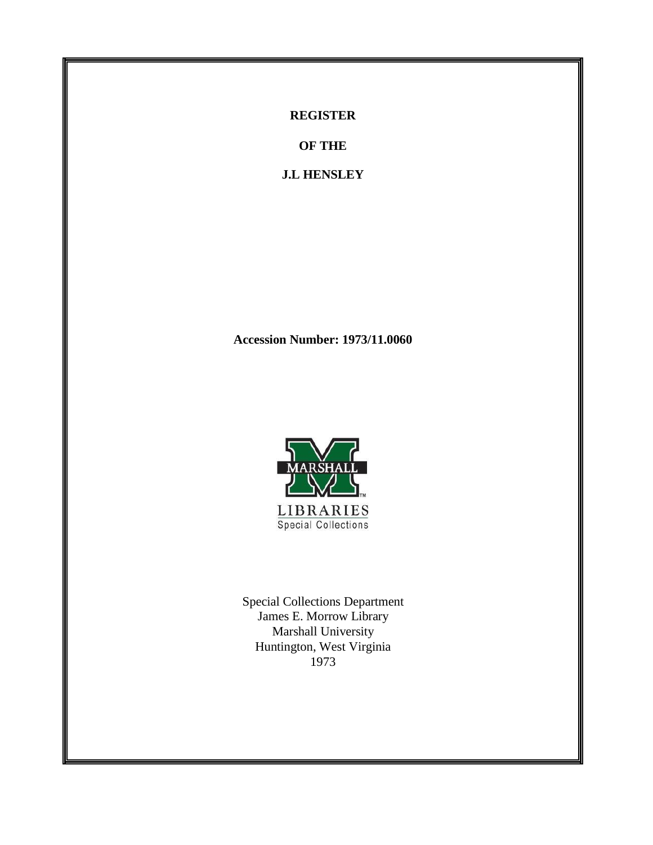**REGISTER**

**OF THE**

**J.L HENSLEY**

**Accession Number: 1973/11.0060**



Special Collections Department James E. Morrow Library Marshall University Huntington, West Virginia 1973